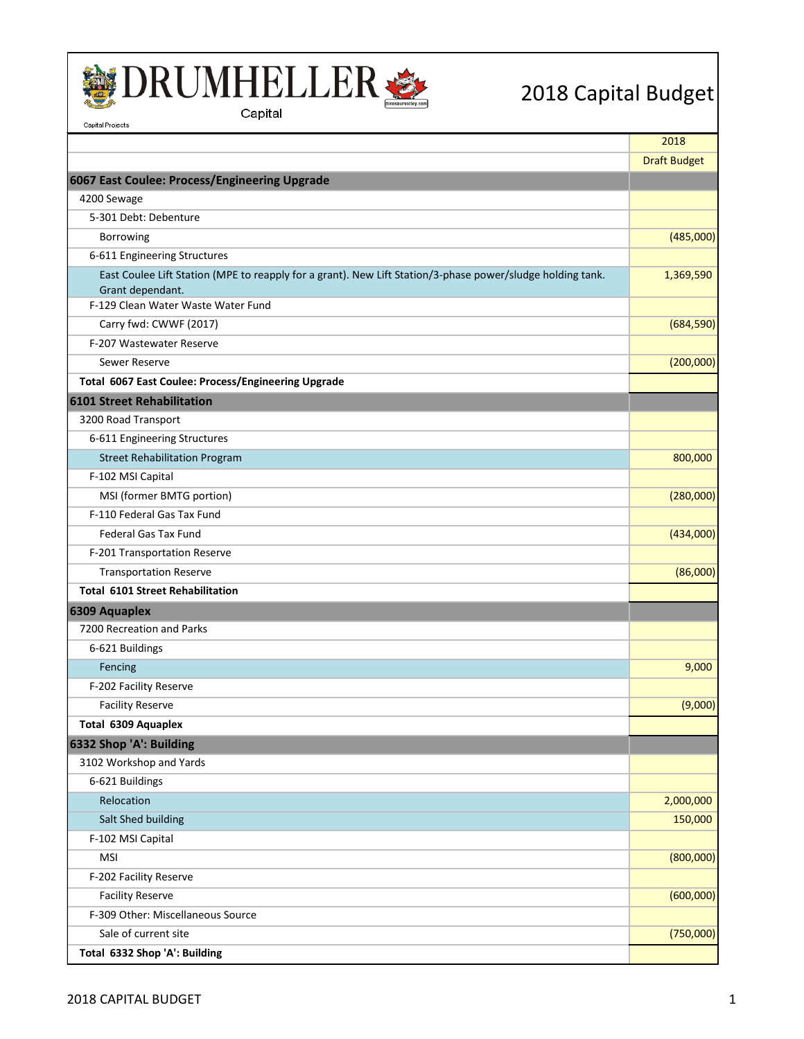

Capital Projects



2018 Capital Budget

2018 Draft Budget **6067 East Coulee: Process/Engineering Upgrade** 4200 Sewage 5-301 Debt: Debenture Borrowing (485,000) 6-611 Engineering Structures East Coulee Lift Station (MPE to reapply for a grant). New Lift Station/3-phase power/sludge holding tank. Grant dependant. 1,369,590 F-129 Clean Water Waste Water Fund Carry fwd: CWWF (2017) (684,590) F-207 Wastewater Reserve Sewer Reserve (200,000) (200,000) (200,000) (200,000) (200,000) (200,000) (200,000) (200,000) (200,000) (200,000 **Total 6067 East Coulee: Process/Engineering Upgrade 6101 Street Rehabilitation** 3200 Road Transport 6-611 Engineering Structures Street Rehabilitation Program 800,000 and the street Rehabilitation Program 800,000 F-102 MSI Capital MSI (former BMTG portion) (280,000) F-110 Federal Gas Tax Fund **Federal Gas Tax Fund (434,000)** (434,000) (634,000) (536,000) (536,000) (536,000) (536,000) (536,000) (536,000) (536,000) (536,000) (536,000) (536,000) (536,000) (536,000) (536,000) (536,000) (536,000) (536,000) (536,000) F-201 Transportation Reserve Transportation Reserve **(86,000)** and the serve of the server of the server of the server of the server of the server of the server of the server of the server of the server of the server of the server of the server of the **Total 6101 Street Rehabilitation 6309 Aquaplex** 7200 Recreation and Parks 6-621 Buildings Fencing 9,000 F-202 Facility Reserve **Facility Reserve** (9,000) **(9,000) (9,000) (9,000) (9,000) (9,000) (9,000) (9,000) (9,000) (9,000) (9,000) (9,000) (9,000) (9,000) (9,000) (9,000) (9,000) (9,000) (9,000) (9,000) (9,0 Total 6309 Aquaplex 6332 Shop 'A': Building** 3102 Workshop and Yards 6-621 Buildings 2,150,000 and 2,150,000 and 2,150,000 and 2,150,000 and 2,150,000 and 2,150,000 and 2,150,000 Relocation 2,000,000 Salt Shed building 150,000 and 150,000 and 150,000 and 150,000 and 150,000 and 150,000 and 150,000 and 150,000 and 150,000 and 150,000 and 150,000 and 150,000 and 150,000 and 150,000 and 150,000 and 150,000 and 150,000 and F-102 MSI Capital MSI (800,000) F-202 Facility Reserve **Facility Reserve** (600,000) **(600,000) (600,000) (600,000) (600,000) (600,000) (600,000) (600,000)** F-309 Other: Miscellaneous Source Sale of current site (750,000) **Total 6332 Shop 'A': Building**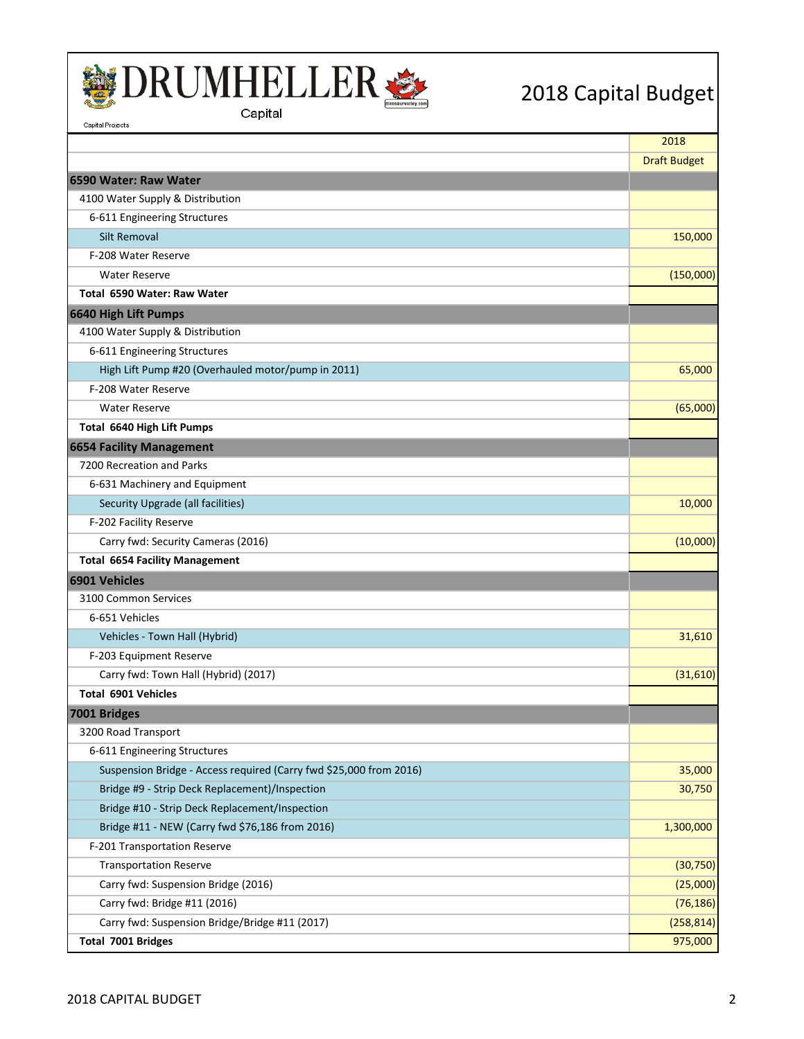



| Capital Projects                                                   |                     |
|--------------------------------------------------------------------|---------------------|
|                                                                    | 2018                |
|                                                                    | <b>Draft Budget</b> |
| 16590 Water: Raw Water                                             |                     |
| 4100 Water Supply & Distribution                                   |                     |
| 6-611 Engineering Structures                                       |                     |
| <b>Silt Removal</b>                                                | 150,000             |
| F-208 Water Reserve                                                |                     |
| <b>Water Reserve</b>                                               | (150,000)           |
| Total 6590 Water: Raw Water                                        |                     |
| 6640 High Lift Pumps                                               |                     |
| 4100 Water Supply & Distribution                                   |                     |
| 6-611 Engineering Structures                                       |                     |
| High Lift Pump #20 (Overhauled motor/pump in 2011)                 | 65,000              |
| F-208 Water Reserve                                                |                     |
| <b>Water Reserve</b>                                               | (65,000)            |
| <b>Total 6640 High Lift Pumps</b>                                  |                     |
| 6654 Facility Management                                           |                     |
| 7200 Recreation and Parks                                          |                     |
| 6-631 Machinery and Equipment                                      |                     |
| Security Upgrade (all facilities)                                  | 10,000              |
| F-202 Facility Reserve                                             |                     |
| Carry fwd: Security Cameras (2016)                                 | (10,000)            |
| <b>Total 6654 Facility Management</b>                              |                     |
| 6901 Vehicles                                                      |                     |
| 3100 Common Services                                               |                     |
| 6-651 Vehicles                                                     |                     |
| Vehicles - Town Hall (Hybrid)                                      | 31,610              |
| F-203 Equipment Reserve                                            |                     |
| Carry fwd: Town Hall (Hybrid) (2017)                               | (31,610)            |
| <b>Total 6901 Vehicles</b>                                         |                     |
| 7001 Bridges                                                       |                     |
| 3200 Road Transport                                                |                     |
| 6-611 Engineering Structures                                       |                     |
| Suspension Bridge - Access required (Carry fwd \$25,000 from 2016) | 35,000              |
| Bridge #9 - Strip Deck Replacement)/Inspection                     | 30,750              |
| Bridge #10 - Strip Deck Replacement/Inspection                     |                     |
| Bridge #11 - NEW (Carry fwd \$76,186 from 2016)                    | 1,300,000           |
| F-201 Transportation Reserve                                       |                     |
| <b>Transportation Reserve</b>                                      | (30, 750)           |
| Carry fwd: Suspension Bridge (2016)                                | (25,000)            |
| Carry fwd: Bridge #11 (2016)                                       | (76, 186)           |
| Carry fwd: Suspension Bridge/Bridge #11 (2017)                     | (258, 814)          |
| Total 7001 Bridges                                                 | 975,000             |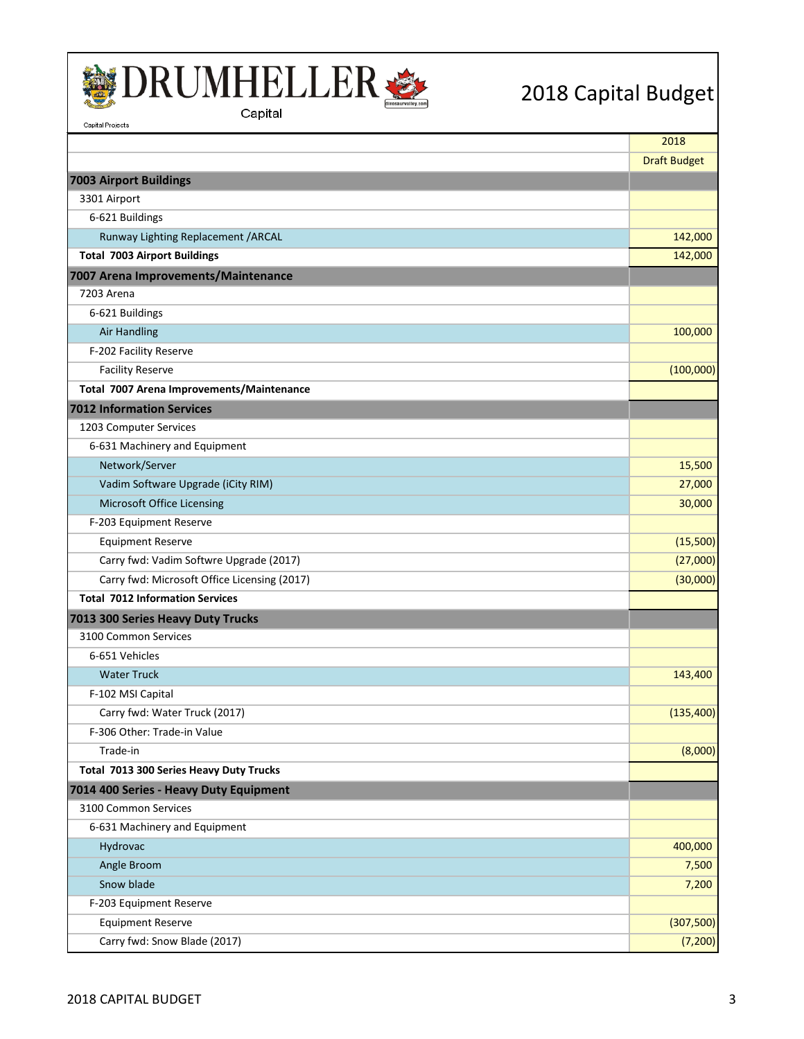

Capital Projects



|                                              | 2018                |
|----------------------------------------------|---------------------|
|                                              | <b>Draft Budget</b> |
| 7003 Airport Buildings                       |                     |
| 3301 Airport                                 |                     |
| 6-621 Buildings                              |                     |
| Runway Lighting Replacement / ARCAL          | 142,000             |
| <b>Total 7003 Airport Buildings</b>          | 142,000             |
| 7007 Arena Improvements/Maintenance          |                     |
| 7203 Arena                                   |                     |
| 6-621 Buildings                              |                     |
| <b>Air Handling</b>                          | 100,000             |
| F-202 Facility Reserve                       |                     |
| <b>Facility Reserve</b>                      | (100,000)           |
| Total 7007 Arena Improvements/Maintenance    |                     |
| <b>7012 Information Services</b>             |                     |
| 1203 Computer Services                       |                     |
| 6-631 Machinery and Equipment                |                     |
| Network/Server                               | 15,500              |
| Vadim Software Upgrade (iCity RIM)           | 27,000              |
| Microsoft Office Licensing                   | 30,000              |
| F-203 Equipment Reserve                      |                     |
| <b>Equipment Reserve</b>                     | (15,500)            |
| Carry fwd: Vadim Softwre Upgrade (2017)      | (27,000)            |
| Carry fwd: Microsoft Office Licensing (2017) | (30,000)            |
| <b>Total 7012 Information Services</b>       |                     |
| 7013 300 Series Heavy Duty Trucks            |                     |
| 3100 Common Services                         |                     |
| 6-651 Vehicles                               |                     |
| <b>Water Truck</b>                           | 143,400             |
| F-102 MSI Capital                            |                     |
| Carry fwd: Water Truck (2017)                | (135, 400)          |
| F-306 Other: Trade-in Value                  |                     |
| Trade-in                                     | (8,000)             |
| Total 7013 300 Series Heavy Duty Trucks      |                     |
| 7014 400 Series - Heavy Duty Equipment       |                     |
| 3100 Common Services                         |                     |
| 6-631 Machinery and Equipment                |                     |
| Hydrovac                                     | 400,000             |
| Angle Broom                                  | 7,500               |
| Snow blade                                   | 7,200               |
| F-203 Equipment Reserve                      |                     |
| <b>Equipment Reserve</b>                     | (307, 500)          |
| Carry fwd: Snow Blade (2017)                 | (7, 200)            |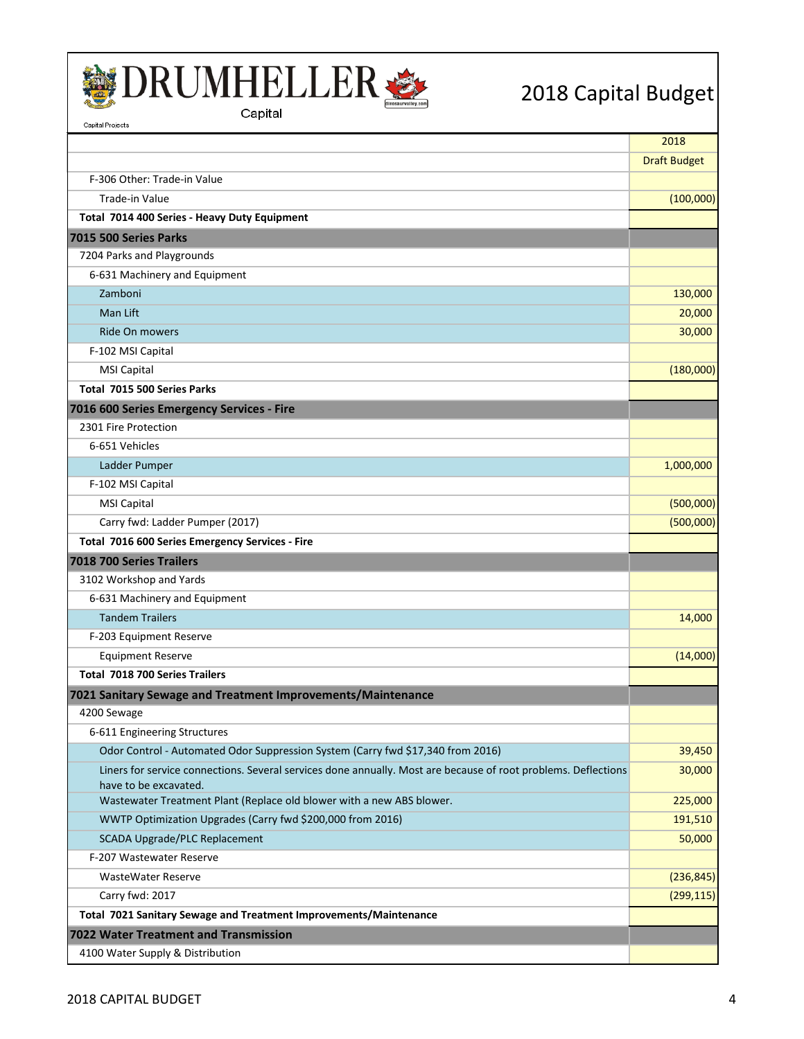



| Capital Projects                                                                                                                        |                     |
|-----------------------------------------------------------------------------------------------------------------------------------------|---------------------|
|                                                                                                                                         | 2018                |
|                                                                                                                                         | <b>Draft Budget</b> |
| F-306 Other: Trade-in Value                                                                                                             |                     |
| Trade-in Value                                                                                                                          | (100,000)           |
| Total 7014 400 Series - Heavy Duty Equipment                                                                                            |                     |
| 7015 500 Series Parks                                                                                                                   |                     |
| 7204 Parks and Playgrounds                                                                                                              |                     |
| 6-631 Machinery and Equipment                                                                                                           |                     |
| Zamboni                                                                                                                                 | 130,000             |
| Man Lift                                                                                                                                | 20,000              |
| Ride On mowers                                                                                                                          | 30,000              |
| F-102 MSI Capital                                                                                                                       |                     |
| <b>MSI Capital</b>                                                                                                                      | (180,000)           |
| Total 7015 500 Series Parks                                                                                                             |                     |
| 7016 600 Series Emergency Services - Fire                                                                                               |                     |
| 2301 Fire Protection                                                                                                                    |                     |
| 6-651 Vehicles                                                                                                                          |                     |
| Ladder Pumper                                                                                                                           | 1,000,000           |
| F-102 MSI Capital                                                                                                                       |                     |
| <b>MSI Capital</b>                                                                                                                      | (500,000)           |
| Carry fwd: Ladder Pumper (2017)                                                                                                         | (500,000)           |
| Total 7016 600 Series Emergency Services - Fire                                                                                         |                     |
| 7018 700 Series Trailers                                                                                                                |                     |
| 3102 Workshop and Yards                                                                                                                 |                     |
| 6-631 Machinery and Equipment                                                                                                           |                     |
| <b>Tandem Trailers</b>                                                                                                                  | 14,000              |
| F-203 Equipment Reserve                                                                                                                 |                     |
| <b>Equipment Reserve</b>                                                                                                                | (14,000)            |
| Total 7018 700 Series Trailers                                                                                                          |                     |
| 7021 Sanitary Sewage and Treatment Improvements/Maintenance                                                                             |                     |
| 4200 Sewage                                                                                                                             |                     |
| 6-611 Engineering Structures                                                                                                            |                     |
| Odor Control - Automated Odor Suppression System (Carry fwd \$17,340 from 2016)                                                         | 39,450              |
| Liners for service connections. Several services done annually. Most are because of root problems. Deflections<br>have to be excavated. | 30,000              |
| Wastewater Treatment Plant (Replace old blower with a new ABS blower.                                                                   | 225,000             |
| WWTP Optimization Upgrades (Carry fwd \$200,000 from 2016)                                                                              | 191,510             |
| <b>SCADA Upgrade/PLC Replacement</b>                                                                                                    | 50,000              |
| F-207 Wastewater Reserve                                                                                                                |                     |
| <b>WasteWater Reserve</b>                                                                                                               | (236, 845)          |
| Carry fwd: 2017                                                                                                                         | (299, 115)          |
| Total 7021 Sanitary Sewage and Treatment Improvements/Maintenance                                                                       |                     |
| 7022 Water Treatment and Transmission                                                                                                   |                     |
| 4100 Water Supply & Distribution                                                                                                        |                     |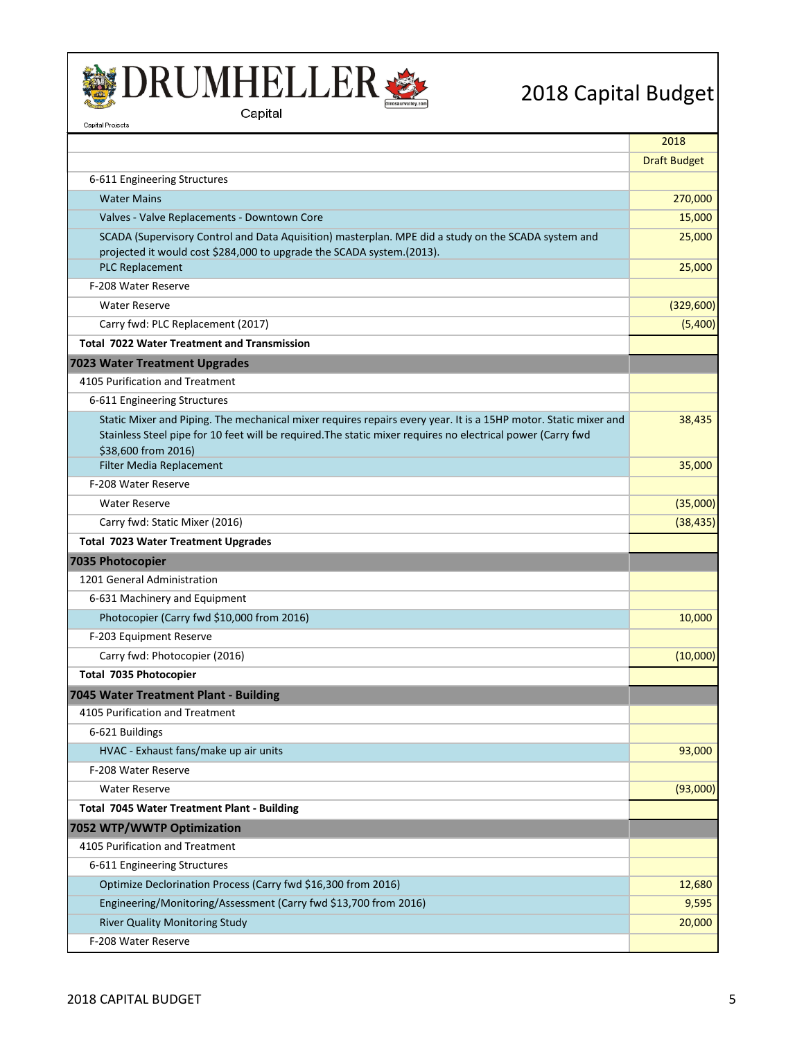



| Capital Projects                                                                                                                                                                                                               |                     |
|--------------------------------------------------------------------------------------------------------------------------------------------------------------------------------------------------------------------------------|---------------------|
|                                                                                                                                                                                                                                | 2018                |
|                                                                                                                                                                                                                                | <b>Draft Budget</b> |
| 6-611 Engineering Structures                                                                                                                                                                                                   |                     |
| <b>Water Mains</b>                                                                                                                                                                                                             | 270,000             |
| Valves - Valve Replacements - Downtown Core                                                                                                                                                                                    | 15,000              |
| SCADA (Supervisory Control and Data Aquisition) masterplan. MPE did a study on the SCADA system and                                                                                                                            | 25,000              |
| projected it would cost \$284,000 to upgrade the SCADA system.(2013).                                                                                                                                                          |                     |
| <b>PLC Replacement</b>                                                                                                                                                                                                         | 25,000              |
| F-208 Water Reserve                                                                                                                                                                                                            |                     |
| <b>Water Reserve</b>                                                                                                                                                                                                           | (329,600)           |
| Carry fwd: PLC Replacement (2017)                                                                                                                                                                                              | (5,400)             |
| <b>Total 7022 Water Treatment and Transmission</b>                                                                                                                                                                             |                     |
| 7023 Water Treatment Upgrades                                                                                                                                                                                                  |                     |
| 4105 Purification and Treatment                                                                                                                                                                                                |                     |
| 6-611 Engineering Structures                                                                                                                                                                                                   |                     |
| Static Mixer and Piping. The mechanical mixer requires repairs every year. It is a 15HP motor. Static mixer and<br>Stainless Steel pipe for 10 feet will be required. The static mixer requires no electrical power (Carry fwd | 38,435              |
| \$38,600 from 2016)                                                                                                                                                                                                            |                     |
| Filter Media Replacement                                                                                                                                                                                                       | 35,000              |
| F-208 Water Reserve                                                                                                                                                                                                            |                     |
| <b>Water Reserve</b>                                                                                                                                                                                                           | (35,000)            |
| Carry fwd: Static Mixer (2016)                                                                                                                                                                                                 | (38, 435)           |
| <b>Total 7023 Water Treatment Upgrades</b>                                                                                                                                                                                     |                     |
| 7035 Photocopier                                                                                                                                                                                                               |                     |
| 1201 General Administration                                                                                                                                                                                                    |                     |
| 6-631 Machinery and Equipment                                                                                                                                                                                                  |                     |
| Photocopier (Carry fwd \$10,000 from 2016)                                                                                                                                                                                     | 10,000              |
| F-203 Equipment Reserve                                                                                                                                                                                                        |                     |
| Carry fwd: Photocopier (2016)                                                                                                                                                                                                  | (10,000)            |
| Total 7035 Photocopier                                                                                                                                                                                                         |                     |
| 7045 Water Treatment Plant - Building                                                                                                                                                                                          |                     |
| 4105 Purification and Treatment                                                                                                                                                                                                |                     |
| 6-621 Buildings                                                                                                                                                                                                                |                     |
| HVAC - Exhaust fans/make up air units                                                                                                                                                                                          | 93,000              |
| F-208 Water Reserve                                                                                                                                                                                                            |                     |
| <b>Water Reserve</b>                                                                                                                                                                                                           | (93,000)            |
| <b>Total 7045 Water Treatment Plant - Building</b>                                                                                                                                                                             |                     |
| 7052 WTP/WWTP Optimization                                                                                                                                                                                                     |                     |
| 4105 Purification and Treatment                                                                                                                                                                                                |                     |
| 6-611 Engineering Structures                                                                                                                                                                                                   |                     |
| Optimize Declorination Process (Carry fwd \$16,300 from 2016)                                                                                                                                                                  | 12,680              |
| Engineering/Monitoring/Assessment (Carry fwd \$13,700 from 2016)                                                                                                                                                               | 9,595               |
| <b>River Quality Monitoring Study</b>                                                                                                                                                                                          | 20,000              |
| F-208 Water Reserve                                                                                                                                                                                                            |                     |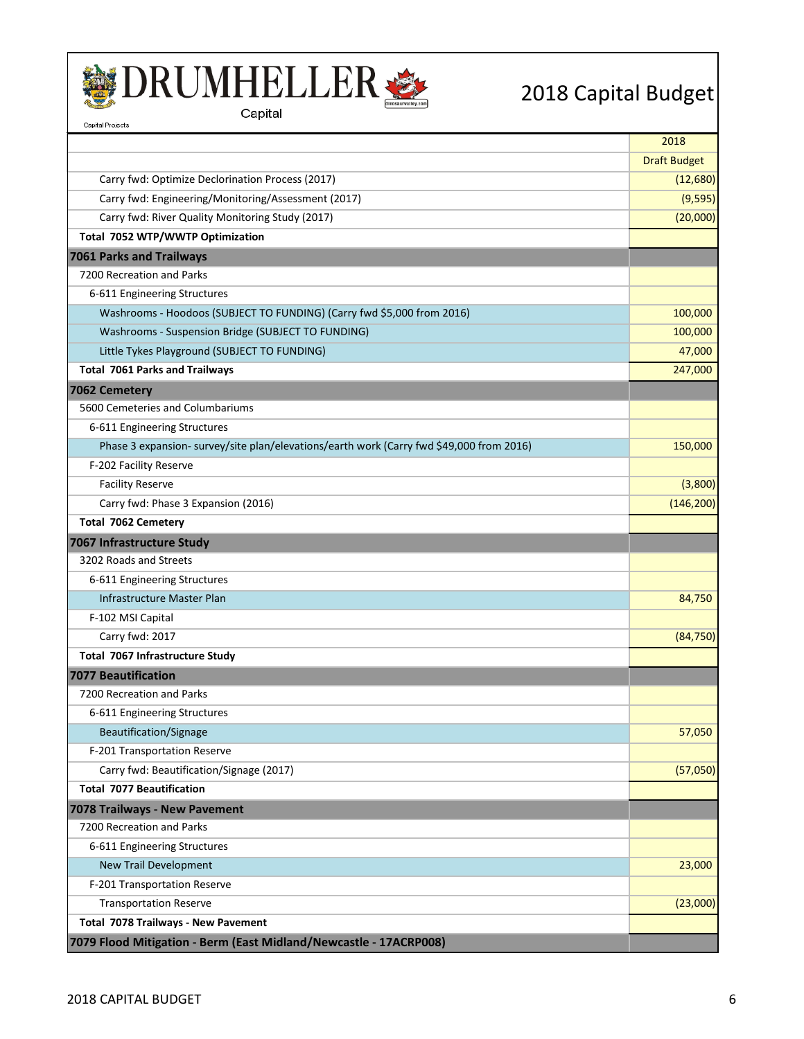



|                                                                                          | 2018                |
|------------------------------------------------------------------------------------------|---------------------|
|                                                                                          | <b>Draft Budget</b> |
| Carry fwd: Optimize Declorination Process (2017)                                         | (12,680)            |
| Carry fwd: Engineering/Monitoring/Assessment (2017)                                      | (9, 595)            |
| Carry fwd: River Quality Monitoring Study (2017)                                         | (20,000)            |
| Total 7052 WTP/WWTP Optimization                                                         |                     |
| <b>7061 Parks and Trailways</b>                                                          |                     |
| 7200 Recreation and Parks                                                                |                     |
| 6-611 Engineering Structures                                                             |                     |
| Washrooms - Hoodoos (SUBJECT TO FUNDING) (Carry fwd \$5,000 from 2016)                   | 100,000             |
| Washrooms - Suspension Bridge (SUBJECT TO FUNDING)                                       | 100,000             |
| Little Tykes Playground (SUBJECT TO FUNDING)                                             | 47,000              |
| <b>Total 7061 Parks and Trailways</b>                                                    | 247,000             |
| 7062 Cemetery                                                                            |                     |
| 5600 Cemeteries and Columbariums                                                         |                     |
| 6-611 Engineering Structures                                                             |                     |
| Phase 3 expansion- survey/site plan/elevations/earth work (Carry fwd \$49,000 from 2016) | 150,000             |
| F-202 Facility Reserve                                                                   |                     |
| <b>Facility Reserve</b>                                                                  | (3,800)             |
| Carry fwd: Phase 3 Expansion (2016)                                                      | (146, 200)          |
| Total 7062 Cemetery                                                                      |                     |
| 7067 Infrastructure Study                                                                |                     |
| 3202 Roads and Streets                                                                   |                     |
| 6-611 Engineering Structures                                                             |                     |
| Infrastructure Master Plan                                                               | 84,750              |
| F-102 MSI Capital                                                                        |                     |
| Carry fwd: 2017                                                                          | (84, 750)           |
| Total 7067 Infrastructure Study                                                          |                     |
| <b>7077 Beautification</b>                                                               |                     |
| 7200 Recreation and Parks                                                                |                     |
| 6-611 Engineering Structures                                                             |                     |
| Beautification/Signage                                                                   | 57,050              |
| F-201 Transportation Reserve                                                             |                     |
| Carry fwd: Beautification/Signage (2017)                                                 | (57,050)            |
| <b>Total 7077 Beautification</b>                                                         |                     |
| 7078 Trailways - New Pavement                                                            |                     |
| 7200 Recreation and Parks                                                                |                     |
| 6-611 Engineering Structures                                                             |                     |
| <b>New Trail Development</b>                                                             | 23,000              |
| F-201 Transportation Reserve                                                             |                     |
| <b>Transportation Reserve</b>                                                            | (23,000)            |
| Total 7078 Trailways - New Pavement                                                      |                     |
| 7079 Flood Mitigation - Berm (East Midland/Newcastle - 17ACRP008)                        |                     |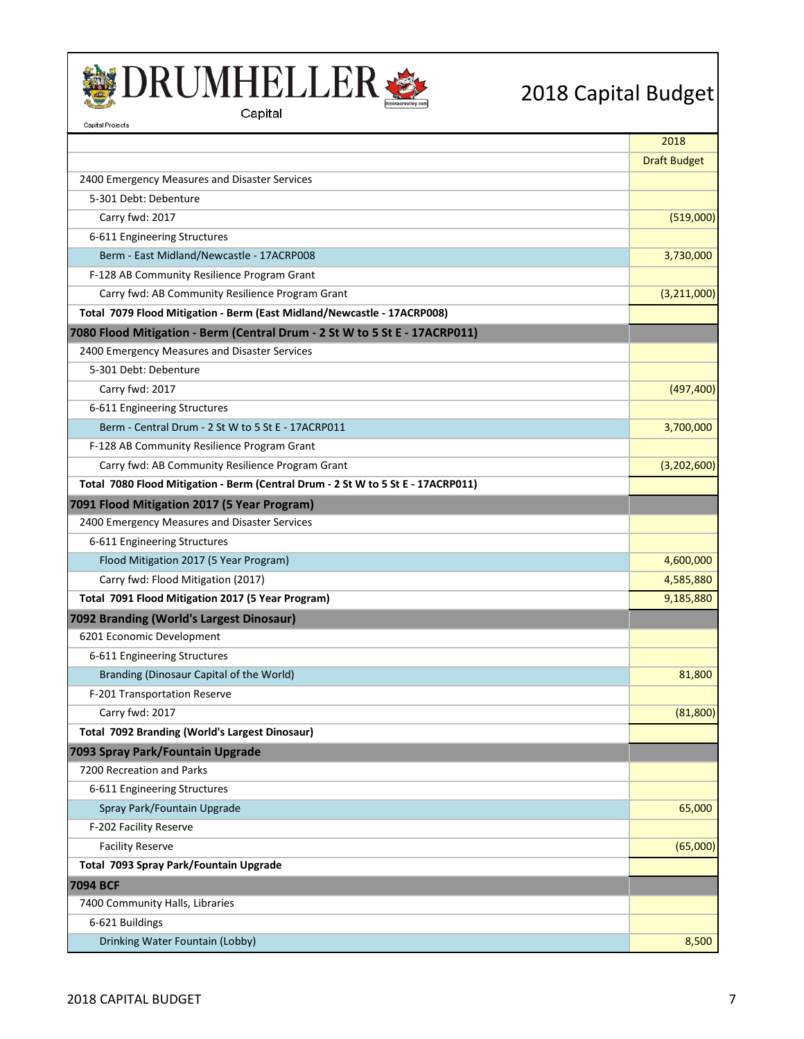



| Capital Projects                                                                 |                     |
|----------------------------------------------------------------------------------|---------------------|
|                                                                                  | 2018                |
|                                                                                  | <b>Draft Budget</b> |
| 2400 Emergency Measures and Disaster Services                                    |                     |
| 5-301 Debt: Debenture                                                            |                     |
| Carry fwd: 2017                                                                  | (519,000)           |
| 6-611 Engineering Structures                                                     |                     |
| Berm - East Midland/Newcastle - 17ACRP008                                        | 3,730,000           |
| F-128 AB Community Resilience Program Grant                                      |                     |
| Carry fwd: AB Community Resilience Program Grant                                 | (3,211,000)         |
| Total 7079 Flood Mitigation - Berm (East Midland/Newcastle - 17ACRP008)          |                     |
| 7080 Flood Mitigation - Berm (Central Drum - 2 St W to 5 St E - 17ACRP011)       |                     |
| 2400 Emergency Measures and Disaster Services                                    |                     |
| 5-301 Debt: Debenture                                                            |                     |
| Carry fwd: 2017                                                                  | (497, 400)          |
| 6-611 Engineering Structures                                                     |                     |
| Berm - Central Drum - 2 St W to 5 St E - 17ACRP011                               | 3,700,000           |
| F-128 AB Community Resilience Program Grant                                      |                     |
| Carry fwd: AB Community Resilience Program Grant                                 | (3,202,600)         |
| Total 7080 Flood Mitigation - Berm (Central Drum - 2 St W to 5 St E - 17ACRP011) |                     |
| 7091 Flood Mitigation 2017 (5 Year Program)                                      |                     |
| 2400 Emergency Measures and Disaster Services                                    |                     |
| 6-611 Engineering Structures                                                     |                     |
| Flood Mitigation 2017 (5 Year Program)                                           | 4,600,000           |
| Carry fwd: Flood Mitigation (2017)                                               | 4,585,880           |
| Total 7091 Flood Mitigation 2017 (5 Year Program)                                | 9,185,880           |
| 7092 Branding (World's Largest Dinosaur)                                         |                     |
| 6201 Economic Development                                                        |                     |
| 6-611 Engineering Structures                                                     |                     |
| Branding (Dinosaur Capital of the World)                                         | 81,800              |
| F-201 Transportation Reserve                                                     |                     |
| Carry fwd: 2017                                                                  | (81, 800)           |
| <b>Total 7092 Branding (World's Largest Dinosaur)</b>                            |                     |
| 7093 Spray Park/Fountain Upgrade                                                 |                     |
| 7200 Recreation and Parks                                                        |                     |
| 6-611 Engineering Structures                                                     |                     |
| Spray Park/Fountain Upgrade                                                      | 65,000              |
| F-202 Facility Reserve                                                           |                     |
| <b>Facility Reserve</b>                                                          | (65,000)            |
| Total 7093 Spray Park/Fountain Upgrade                                           |                     |
| 7094 BCF                                                                         |                     |
| 7400 Community Halls, Libraries                                                  |                     |
| 6-621 Buildings                                                                  |                     |
| Drinking Water Fountain (Lobby)                                                  | 8,500               |
|                                                                                  |                     |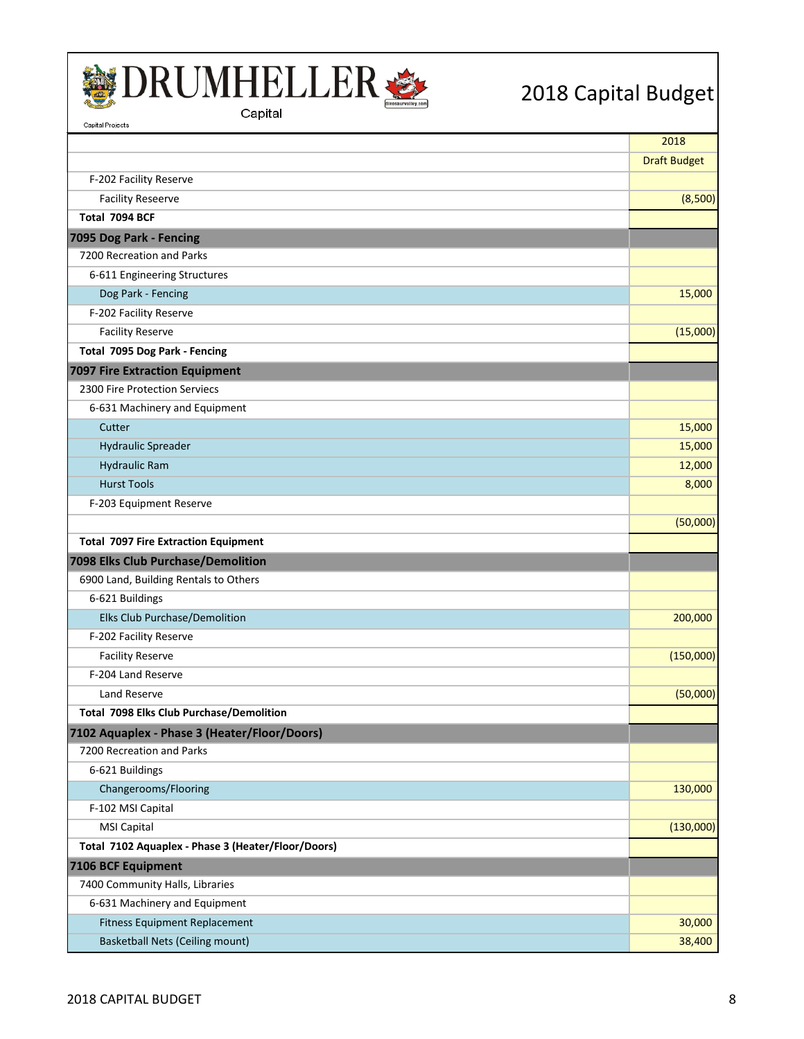



| capπaι Projects                                    |                     |
|----------------------------------------------------|---------------------|
|                                                    | 2018                |
|                                                    | <b>Draft Budget</b> |
| F-202 Facility Reserve                             |                     |
| <b>Facility Reseerve</b>                           | (8,500)             |
| Total 7094 BCF                                     |                     |
| 7095 Dog Park - Fencing                            |                     |
| 7200 Recreation and Parks                          |                     |
| 6-611 Engineering Structures                       |                     |
| Dog Park - Fencing                                 | 15,000              |
| F-202 Facility Reserve                             |                     |
| <b>Facility Reserve</b>                            | (15,000)            |
| Total 7095 Dog Park - Fencing                      |                     |
| <b>7097 Fire Extraction Equipment</b>              |                     |
| 2300 Fire Protection Serviecs                      |                     |
| 6-631 Machinery and Equipment                      |                     |
| Cutter                                             | 15,000              |
| <b>Hydraulic Spreader</b>                          | 15,000              |
| <b>Hydraulic Ram</b>                               | 12,000              |
| <b>Hurst Tools</b>                                 | 8,000               |
| F-203 Equipment Reserve                            |                     |
|                                                    | (50,000)            |
| <b>Total 7097 Fire Extraction Equipment</b>        |                     |
| 7098 Elks Club Purchase/Demolition                 |                     |
| 6900 Land, Building Rentals to Others              |                     |
| 6-621 Buildings                                    |                     |
| Elks Club Purchase/Demolition                      | 200,000             |
| F-202 Facility Reserve                             |                     |
| <b>Facility Reserve</b>                            | (150,000)           |
| F-204 Land Reserve                                 |                     |
| Land Reserve                                       | (50,000)            |
| Total 7098 Elks Club Purchase/Demolition           |                     |
| 7102 Aquaplex - Phase 3 (Heater/Floor/Doors)       |                     |
| 7200 Recreation and Parks                          |                     |
| 6-621 Buildings                                    |                     |
| Changerooms/Flooring                               | 130,000             |
| F-102 MSI Capital                                  |                     |
| <b>MSI Capital</b>                                 | (130,000)           |
| Total 7102 Aquaplex - Phase 3 (Heater/Floor/Doors) |                     |
| 7106 BCF Equipment                                 |                     |
| 7400 Community Halls, Libraries                    |                     |
| 6-631 Machinery and Equipment                      |                     |
| <b>Fitness Equipment Replacement</b>               | 30,000              |
| <b>Basketball Nets (Ceiling mount)</b>             | 38,400              |